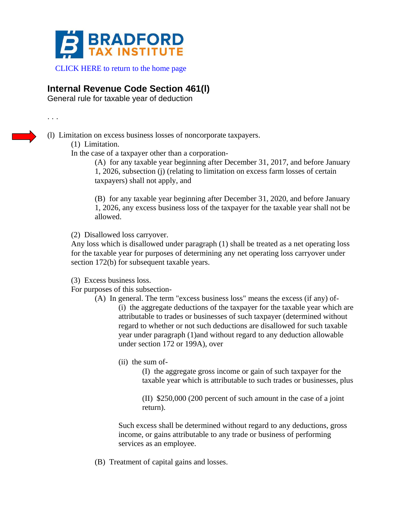

[CLICK HERE to return to the home page](https://www.bradfordtaxinstitute.com)

## **Internal Revenue Code Section 461(l)**

General rule for taxable year of deduction

. . .

(l) Limitation on excess business losses of noncorporate taxpayers.

(1) Limitation.

In the case of a taxpayer other than a corporation-

(A) for any taxable year beginning after December 31, 2017, and before January 1, 2026, subsection (j) (relating to limitation on excess farm losses of certain taxpayers) shall not apply, and

(B) for any taxable year beginning after December 31, 2020, and before January 1, 2026, any excess business loss of the taxpayer for the taxable year shall not be allowed.

(2) Disallowed loss carryover.

Any loss which is disallowed under paragraph (1) shall be treated as a net operating loss for the taxable year for purposes of determining any net operating loss carryover under section 172(b) for subsequent taxable years.

(3) Excess business loss.

For purposes of this subsection-

- (A) In general. The term "excess business loss" means the excess (if any) of- (i) the aggregate deductions of the taxpayer for the taxable year which are attributable to trades or businesses of such taxpayer (determined without regard to whether or not such deductions are disallowed for such taxable year under paragraph (1)and without regard to any deduction allowable under section 172 or 199A), over
	- (ii) the sum of-

(I) the aggregate gross income or gain of such taxpayer for the taxable year which is attributable to such trades or businesses, plus

(II) \$250,000 (200 percent of such amount in the case of a joint return).

Such excess shall be determined without regard to any deductions, gross income, or gains attributable to any trade or business of performing services as an employee.

(B) Treatment of capital gains and losses.